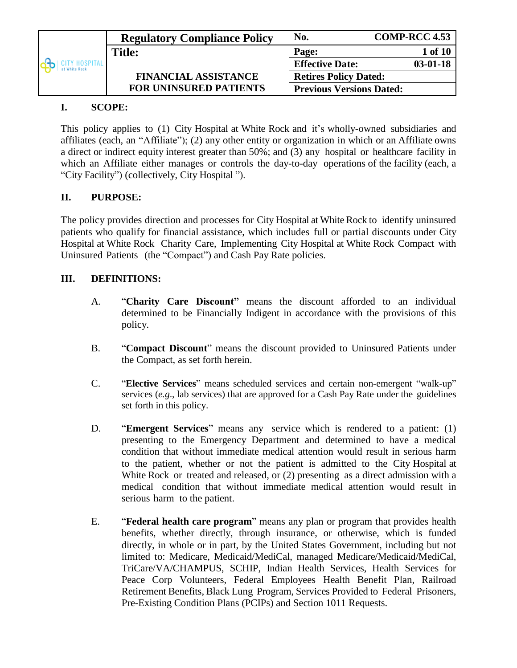|                               | <b>Regulatory Compliance Policy</b> | No.                             | <b>COMP-RCC 4.53</b> |
|-------------------------------|-------------------------------------|---------------------------------|----------------------|
|                               | <b>Title:</b>                       | Page:                           | $1$ of $101$         |
| ITY HOSPITAL<br>at White Rock |                                     | <b>Effective Date:</b>          | $03-01-18$           |
|                               | <b>FINANCIAL ASSISTANCE</b>         | <b>Retires Policy Dated:</b>    |                      |
|                               | <b>FOR UNINSURED PATIENTS</b>       | <b>Previous Versions Dated:</b> |                      |

## **I. SCOPE:**

This policy applies to (1) City Hospital at White Rock and it's wholly-owned subsidiaries and affiliates (each, an "Affiliate"); (2) any other entity or organization in which or an Affiliate owns a direct or indirect equity interest greater than 50%; and (3) any hospital or healthcare facility in which an Affiliate either manages or controls the day-to-day operations of the facility (each, a "City Facility") (collectively, City Hospital ").

# **II. PURPOSE:**

The policy provides direction and processes for City Hospital at White Rock to identify uninsured patients who qualify for financial assistance, which includes full or partial discounts under City Hospital at White Rock Charity Care, Implementing City Hospital at White Rock Compact with Uninsured Patients (the "Compact") and Cash Pay Rate policies.

## **III. DEFINITIONS:**

- A. "**Charity Care Discount"** means the discount afforded to an individual determined to be Financially Indigent in accordance with the provisions of this policy.
- B. "**Compact Discount**" means the discount provided to Uninsured Patients under the Compact, as set forth herein.
- C. "**Elective Services**" means scheduled services and certain non-emergent "walk-up" services (*e.g*., lab services) that are approved for a Cash Pay Rate under the guidelines set forth in this policy.
- D. "**Emergent Services**" means any service which is rendered to a patient: (1) presenting to the Emergency Department and determined to have a medical condition that without immediate medical attention would result in serious harm to the patient, whether or not the patient is admitted to the City Hospital at White Rock or treated and released, or (2) presenting as a direct admission with a medical condition that without immediate medical attention would result in serious harm to the patient.
- E. "**Federal health care program**" means any plan or program that provides health benefits, whether directly, through insurance, or otherwise, which is funded directly, in whole or in part, by the United States Government, including but not limited to: Medicare, Medicaid/MediCal, managed Medicare/Medicaid/MediCal, TriCare/VA/CHAMPUS, SCHIP, Indian Health Services, Health Services for Peace Corp Volunteers, Federal Employees Health Benefit Plan, Railroad Retirement Benefits, Black Lung Program, Services Provided to Federal Prisoners, Pre-Existing Condition Plans (PCIPs) and Section 1011 Requests.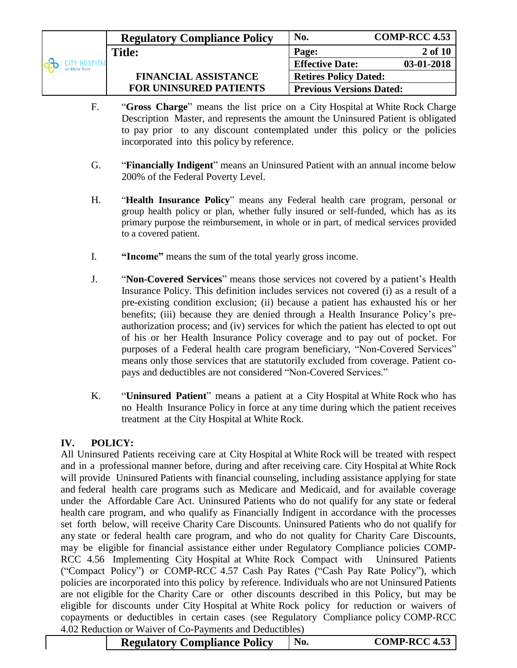|                                        | <b>Regulatory Compliance Policy</b> | No.                             | <b>COMP-RCC 4.53</b> |  |
|----------------------------------------|-------------------------------------|---------------------------------|----------------------|--|
|                                        | <b>Title:</b>                       | Page:                           | 2 of 10              |  |
| tu <b>y hospit</b> al<br>at White Rock |                                     | <b>Effective Date:</b>          | 03-01-2018           |  |
|                                        | <b>FINANCIAL ASSISTANCE</b>         | <b>Retires Policy Dated:</b>    |                      |  |
|                                        | <b>FOR UNINSURED PATIENTS</b>       | <b>Previous Versions Dated:</b> |                      |  |

- F. "**Gross Charge**" means the list price on a City Hospital at White Rock Charge Description Master, and represents the amount the Uninsured Patient is obligated to pay prior to any discount contemplated under this policy or the policies incorporated into this policy by reference.
- G. "**Financially Indigent**" means an Uninsured Patient with an annual income below 200% of the Federal Poverty Level.
- H. "**Health Insurance Policy**" means any Federal health care program, personal or group health policy or plan, whether fully insured or self-funded, which has as its primary purpose the reimbursement, in whole or in part, of medical services provided to a covered patient.
- I. **"Income"** means the sum of the total yearly gross income.
- J. "**Non-Covered Services**" means those services not covered by a patient's Health Insurance Policy. This definition includes services not covered (i) as a result of a pre-existing condition exclusion; (ii) because a patient has exhausted his or her benefits; (iii) because they are denied through a Health Insurance Policy's preauthorization process; and (iv) services for which the patient has elected to opt out of his or her Health Insurance Policy coverage and to pay out of pocket. For purposes of a Federal health care program beneficiary, "Non-Covered Services" means only those services that are statutorily excluded from coverage. Patient copays and deductibles are not considered "Non-Covered Services."
- K. "**Uninsured Patient**" means a patient at a City Hospital at White Rock who has no Health Insurance Policy in force at any time during which the patient receives treatment at the City Hospital at White Rock.

#### **IV. POLICY:**

All Uninsured Patients receiving care at City Hospital at White Rock will be treated with respect and in a professional manner before, during and after receiving care. City Hospital at White Rock will provide Uninsured Patients with financial counseling, including assistance applying for state and federal health care programs such as Medicare and Medicaid, and for available coverage under the Affordable Care Act. Uninsured Patients who do not qualify for any state or federal health care program, and who qualify as Financially Indigent in accordance with the processes set forth below, will receive Charity Care Discounts. Uninsured Patients who do not qualify for any state or federal health care program, and who do not quality for Charity Care Discounts, may be eligible for financial assistance either under Regulatory Compliance policies COMP-RCC 4.56 Implementing City Hospital at White Rock Compact with Uninsured Patients ("Compact Policy") or COMP-RCC 4.57 Cash Pay Rates ("Cash Pay Rate Policy"), which policies are incorporated into this policy by reference. Individuals who are not Uninsured Patients are not eligible for the Charity Care or other discounts described in this Policy, but may be eligible for discounts under City Hospital at White Rock policy for reduction or waivers of copayments or deductibles in certain cases (see Regulatory Compliance policy COMP-RCC 4.02 Reduction or Waiver of Co-Payments and Deductibles)

| <b>Regulatory Compliance Policy</b> | No. | <b>COMP-RCC 4.53</b> |
|-------------------------------------|-----|----------------------|
|-------------------------------------|-----|----------------------|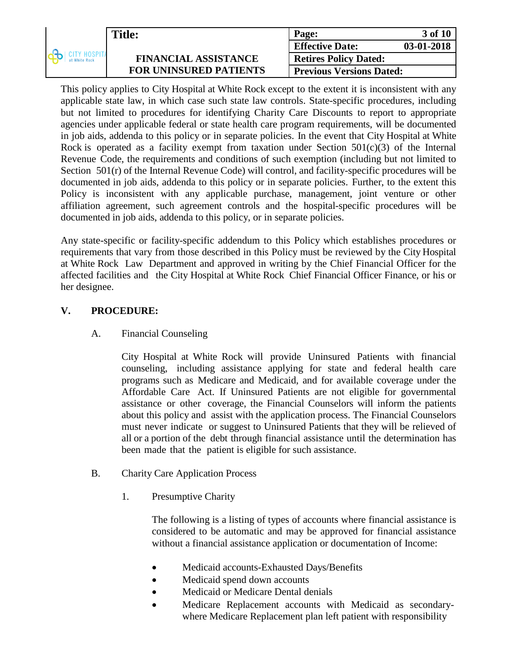|              | <b>Title:</b>                 | Page:                           | 3 of 10    |
|--------------|-------------------------------|---------------------------------|------------|
|              |                               | <b>Effective Date:</b>          | 03-01-2018 |
| CITY HOSPITA | <b>FINANCIAL ASSISTANCE</b>   | <b>Retires Policy Dated:</b>    |            |
|              | <b>FOR UNINSURED PATIENTS</b> | <b>Previous Versions Dated:</b> |            |

This policy applies to City Hospital at White Rock except to the extent it is inconsistent with any applicable state law, in which case such state law controls. State-specific procedures, including but not limited to procedures for identifying Charity Care Discounts to report to appropriate agencies under applicable federal or state health care program requirements, will be documented in job aids, addenda to this policy or in separate policies. In the event that City Hospital at White Rock is operated as a facility exempt from taxation under Section  $501(c)(3)$  of the Internal Revenue Code, the requirements and conditions of such exemption (including but not limited to Section  $501(r)$  of the Internal Revenue Code) will control, and facility-specific procedures will be documented in job aids, addenda to this policy or in separate policies. Further, to the extent this Policy is inconsistent with any applicable purchase, management, joint venture or other affiliation agreement, such agreement controls and the hospital-specific procedures will be documented in job aids, addenda to this policy, or in separate policies.

Any state-specific or facility-specific addendum to this Policy which establishes procedures or requirements that vary from those described in this Policy must be reviewed by the City Hospital at White Rock Law Department and approved in writing by the Chief Financial Officer for the affected facilities and the City Hospital at White Rock Chief Financial Officer Finance, or his or her designee.

### **V. PROCEDURE:**

A. Financial Counseling

City Hospital at White Rock will provide Uninsured Patients with financial counseling, including assistance applying for state and federal health care programs such as Medicare and Medicaid, and for available coverage under the Affordable Care Act. If Uninsured Patients are not eligible for governmental assistance or other coverage, the Financial Counselors will inform the patients about this policy and assist with the application process. The Financial Counselors must never indicate or suggest to Uninsured Patients that they will be relieved of all or a portion of the debt through financial assistance until the determination has been made that the patient is eligible for such assistance.

- B. Charity Care Application Process
	- 1. Presumptive Charity

The following is a listing of types of accounts where financial assistance is considered to be automatic and may be approved for financial assistance without a financial assistance application or documentation of Income:

- Medicaid accounts-Exhausted Days/Benefits
- Medicaid spend down accounts
- Medicaid or Medicare Dental denials
- Medicare Replacement accounts with Medicaid as secondarywhere Medicare Replacement plan left patient with responsibility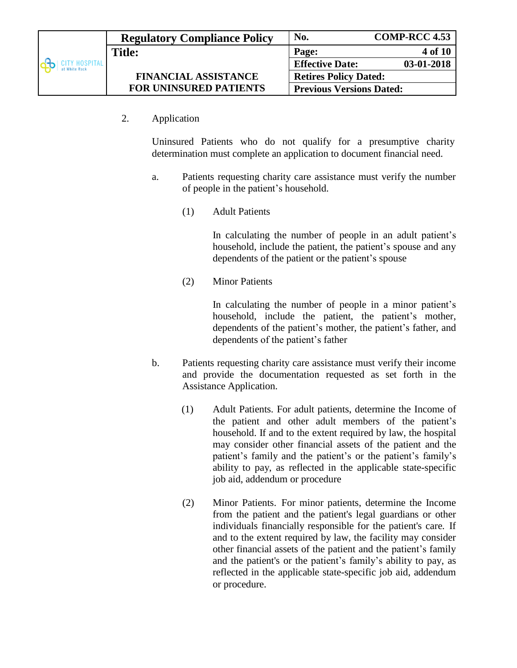|               | <b>Regulatory Compliance Policy</b> | No.                             | <b>COMP-RCC 4.53</b> |  |
|---------------|-------------------------------------|---------------------------------|----------------------|--|
|               | <b>Title:</b>                       | Page:                           | <b>4 of 10</b>       |  |
| at White Rock |                                     | <b>Effective Date:</b>          | 03-01-2018           |  |
|               | <b>FINANCIAL ASSISTANCE</b>         | <b>Retires Policy Dated:</b>    |                      |  |
|               | <b>FOR UNINSURED PATIENTS</b>       | <b>Previous Versions Dated:</b> |                      |  |

2. Application

Uninsured Patients who do not qualify for a presumptive charity determination must complete an application to document financial need.

- a. Patients requesting charity care assistance must verify the number of people in the patient's household.
	- (1) Adult Patients

In calculating the number of people in an adult patient's household, include the patient, the patient's spouse and any dependents of the patient or the patient's spouse

(2) Minor Patients

In calculating the number of people in a minor patient's household, include the patient, the patient's mother, dependents of the patient's mother, the patient's father, and dependents of the patient's father

- b. Patients requesting charity care assistance must verify their income and provide the documentation requested as set forth in the Assistance Application.
	- (1) Adult Patients. For adult patients, determine the Income of the patient and other adult members of the patient's household. If and to the extent required by law, the hospital may consider other financial assets of the patient and the patient's family and the patient's or the patient's family's ability to pay, as reflected in the applicable state-specific job aid, addendum or procedure
	- (2) Minor Patients. For minor patients, determine the Income from the patient and the patient's legal guardians or other individuals financially responsible for the patient's care. If and to the extent required by law, the facility may consider other financial assets of the patient and the patient's family and the patient's or the patient's family's ability to pay, as reflected in the applicable state-specific job aid, addendum or procedure.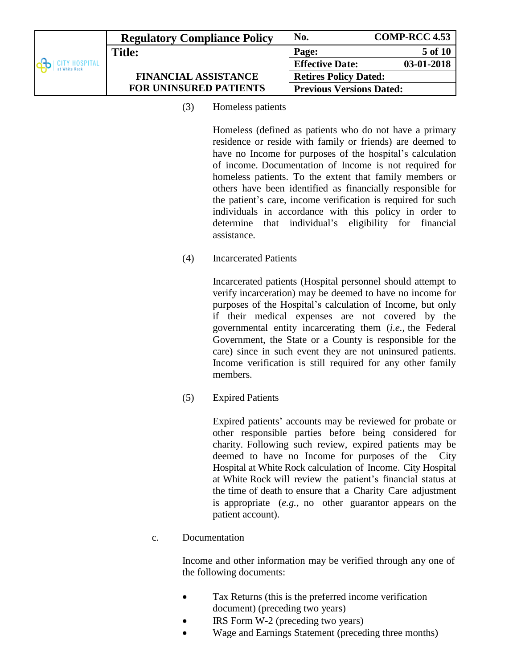|                              | <b>Regulatory Compliance Policy</b> | No.                             | <b>COMP-RCC 4.53</b> |
|------------------------------|-------------------------------------|---------------------------------|----------------------|
|                              | <b>Title:</b>                       | Page:                           | 5 of 10              |
| TY HOSPITAL<br>at White Rock |                                     | <b>Effective Date:</b>          | 03-01-2018           |
|                              | <b>FINANCIAL ASSISTANCE</b>         | <b>Retires Policy Dated:</b>    |                      |
|                              | <b>FOR UNINSURED PATIENTS</b>       | <b>Previous Versions Dated:</b> |                      |

(3) Homeless patients

Homeless (defined as patients who do not have a primary residence or reside with family or friends) are deemed to have no Income for purposes of the hospital's calculation of income. Documentation of Income is not required for homeless patients. To the extent that family members or others have been identified as financially responsible for the patient's care, income verification is required for such individuals in accordance with this policy in order to determine that individual's eligibility for financial assistance.

(4) Incarcerated Patients

Incarcerated patients (Hospital personnel should attempt to verify incarceration) may be deemed to have no income for purposes of the Hospital's calculation of Income, but only if their medical expenses are not covered by the governmental entity incarcerating them (*i.e.,* the Federal Government, the State or a County is responsible for the care) since in such event they are not uninsured patients. Income verification is still required for any other family members.

(5) Expired Patients

Expired patients' accounts may be reviewed for probate or other responsible parties before being considered for charity. Following such review, expired patients may be deemed to have no Income for purposes of the City Hospital at White Rock calculation of Income. City Hospital at White Rock will review the patient's financial status at the time of death to ensure that a Charity Care adjustment is appropriate (*e.g.,* no other guarantor appears on the patient account).

c. Documentation

Income and other information may be verified through any one of the following documents:

- Tax Returns (this is the preferred income verification document) (preceding two years)
- IRS Form W-2 (preceding two years)
- Wage and Earnings Statement (preceding three months)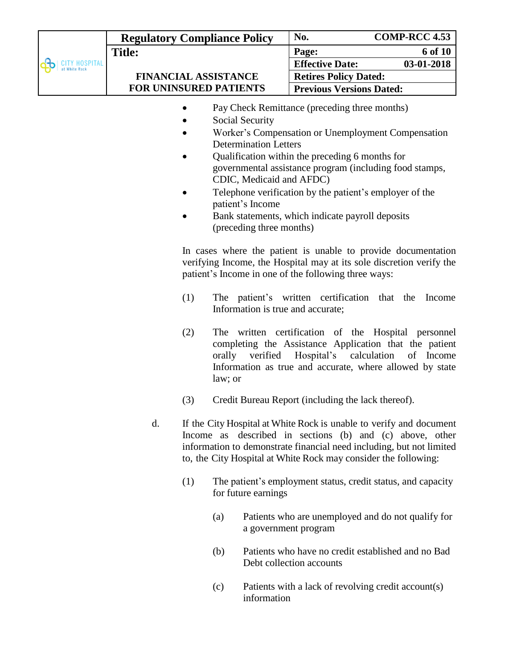|                                     | <b>Regulatory Compliance Policy</b> | No.                             | <b>COMP-RCC 4.53</b> |
|-------------------------------------|-------------------------------------|---------------------------------|----------------------|
|                                     | <b>Title:</b>                       | Page:                           | 6 of 10              |
| <b>TY HOSPITAL</b><br>at White Rock |                                     | <b>Effective Date:</b>          | 03-01-2018           |
|                                     | <b>FINANCIAL ASSISTANCE</b>         | <b>Retires Policy Dated:</b>    |                      |
|                                     | <b>FOR UNINSURED PATIENTS</b>       | <b>Previous Versions Dated:</b> |                      |
|                                     |                                     |                                 |                      |

- Pay Check Remittance (preceding three months)
- Social Security
- Worker's Compensation or Unemployment Compensation Determination Letters
- Qualification within the preceding 6 months for governmental assistance program (including food stamps, CDIC, Medicaid and AFDC)
- Telephone verification by the patient's employer of the patient's Income
- Bank statements, which indicate payroll deposits (preceding three months)

In cases where the patient is unable to provide documentation verifying Income, the Hospital may at its sole discretion verify the patient's Income in one of the following three ways:

- (1) The patient's written certification that the Income Information is true and accurate;
- (2) The written certification of the Hospital personnel completing the Assistance Application that the patient orally verified Hospital's calculation of Income Information as true and accurate, where allowed by state law; or
- (3) Credit Bureau Report (including the lack thereof).
- d. If the City Hospital at White Rock is unable to verify and document Income as described in sections (b) and (c) above, other information to demonstrate financial need including, but not limited to, the City Hospital at White Rock may consider the following:
	- (1) The patient's employment status, credit status, and capacity for future earnings
		- (a) Patients who are unemployed and do not qualify for a government program
		- (b) Patients who have no credit established and no Bad Debt collection accounts
		- (c) Patients with a lack of revolving credit account(s) information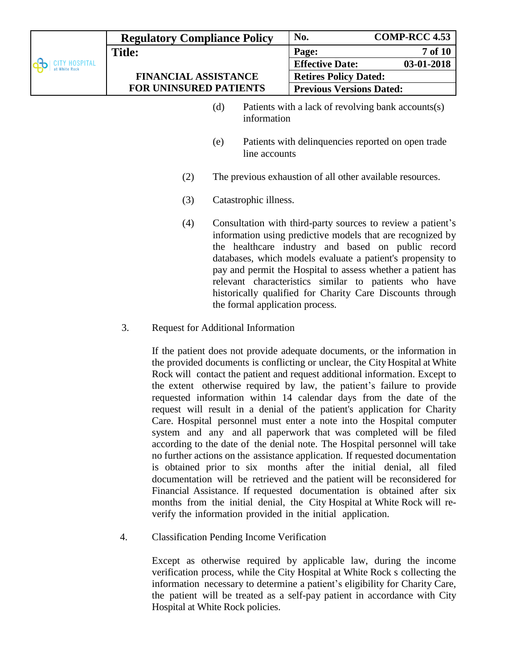| <b>Regulatory Compliance Policy</b> |     |                                 | No.                                                       | <b>COMP-RCC 4.53</b>                                                                                                                                                                                                                                                                                                                                                                                                               |
|-------------------------------------|-----|---------------------------------|-----------------------------------------------------------|------------------------------------------------------------------------------------------------------------------------------------------------------------------------------------------------------------------------------------------------------------------------------------------------------------------------------------------------------------------------------------------------------------------------------------|
| <b>Title:</b>                       |     |                                 | Page:                                                     | 7 of 10                                                                                                                                                                                                                                                                                                                                                                                                                            |
|                                     |     |                                 | <b>Effective Date:</b>                                    | 03-01-2018                                                                                                                                                                                                                                                                                                                                                                                                                         |
| <b>FINANCIAL ASSISTANCE</b>         |     |                                 | <b>Retires Policy Dated:</b>                              |                                                                                                                                                                                                                                                                                                                                                                                                                                    |
| <b>FOR UNINSURED PATIENTS</b>       |     |                                 | <b>Previous Versions Dated:</b>                           |                                                                                                                                                                                                                                                                                                                                                                                                                                    |
|                                     | (d) | information                     |                                                           | Patients with a lack of revolving bank accounts(s)                                                                                                                                                                                                                                                                                                                                                                                 |
|                                     | (e) | line accounts                   |                                                           | Patients with delinquencies reported on open trade                                                                                                                                                                                                                                                                                                                                                                                 |
| (2)                                 |     |                                 | The previous exhaustion of all other available resources. |                                                                                                                                                                                                                                                                                                                                                                                                                                    |
| (3)                                 |     | Catastrophic illness.           |                                                           |                                                                                                                                                                                                                                                                                                                                                                                                                                    |
| (4)                                 |     | the formal application process. |                                                           | Consultation with third-party sources to review a patient's<br>information using predictive models that are recognized by<br>the healthcare industry and based on public record<br>databases, which models evaluate a patient's propensity to<br>pay and permit the Hospital to assess whether a patient has<br>relevant characteristics similar to patients who have<br>historically qualified for Charity Care Discounts through |

3. Request for Additional Information

If the patient does not provide adequate documents, or the information in the provided documents is conflicting or unclear, the City Hospital at White Rock will contact the patient and request additional information. Except to the extent otherwise required by law, the patient's failure to provide requested information within 14 calendar days from the date of the request will result in a denial of the patient's application for Charity Care. Hospital personnel must enter a note into the Hospital computer system and any and all paperwork that was completed will be filed according to the date of the denial note. The Hospital personnel will take no further actions on the assistance application. If requested documentation is obtained prior to six months after the initial denial, all filed documentation will be retrieved and the patient will be reconsidered for Financial Assistance. If requested documentation is obtained after six months from the initial denial, the City Hospital at White Rock will reverify the information provided in the initial application.

4. Classification Pending Income Verification

Except as otherwise required by applicable law, during the income verification process, while the City Hospital at White Rock s collecting the information necessary to determine a patient's eligibility for Charity Care, the patient will be treated as a self-pay patient in accordance with City Hospital at White Rock policies.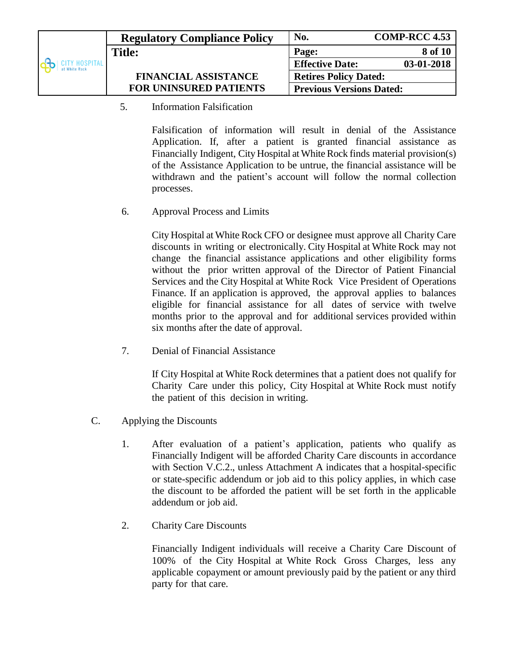|                               | <b>Regulatory Compliance Policy</b> | No.                             | <b>COMP-RCC 4.53</b> |
|-------------------------------|-------------------------------------|---------------------------------|----------------------|
|                               | <b>Title:</b>                       | Page:                           | 8 of 10              |
| ITY HOSPITAL<br>at White Rock |                                     | <b>Effective Date:</b>          | 03-01-2018           |
|                               | <b>FINANCIAL ASSISTANCE</b>         | <b>Retires Policy Dated:</b>    |                      |
|                               | <b>FOR UNINSURED PATIENTS</b>       | <b>Previous Versions Dated:</b> |                      |

5. Information Falsification

Falsification of information will result in denial of the Assistance Application. If, after a patient is granted financial assistance as Financially Indigent, City Hospital at White Rock finds material provision(s) of the Assistance Application to be untrue, the financial assistance will be withdrawn and the patient's account will follow the normal collection processes.

6. Approval Process and Limits

City Hospital at White Rock CFO or designee must approve all Charity Care discounts in writing or electronically. City Hospital at White Rock may not change the financial assistance applications and other eligibility forms without the prior written approval of the Director of Patient Financial Services and the City Hospital at White Rock Vice President of Operations Finance. If an application is approved, the approval applies to balances eligible for financial assistance for all dates of service with twelve months prior to the approval and for additional services provided within six months after the date of approval.

7. Denial of Financial Assistance

If City Hospital at White Rock determines that a patient does not qualify for Charity Care under this policy, City Hospital at White Rock must notify the patient of this decision in writing.

- C. Applying the Discounts
	- 1. After evaluation of a patient's application, patients who qualify as Financially Indigent will be afforded Charity Care discounts in accordance with Section V.C.2., unless Attachment A indicates that a hospital-specific or state-specific addendum or job aid to this policy applies, in which case the discount to be afforded the patient will be set forth in the applicable addendum or job aid.
	- 2. Charity Care Discounts

Financially Indigent individuals will receive a Charity Care Discount of 100% of the City Hospital at White Rock Gross Charges, less any applicable copayment or amount previously paid by the patient or any third party for that care.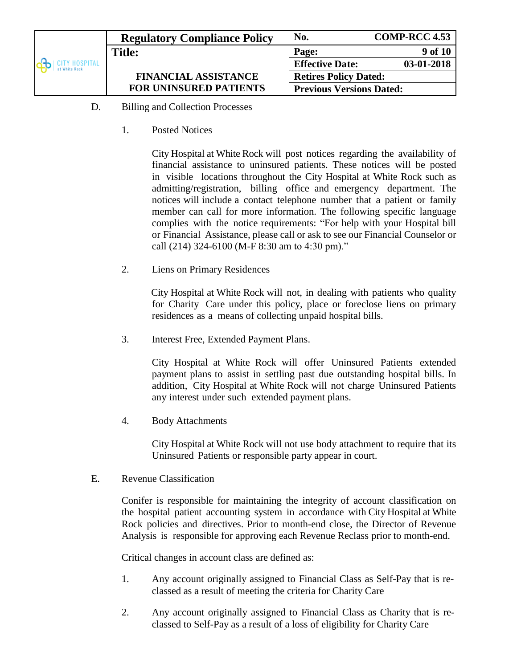|                              | <b>Regulatory Compliance Policy</b> | No.                             | <b>COMP-RCC 4.53</b> |
|------------------------------|-------------------------------------|---------------------------------|----------------------|
|                              | <b>Title:</b>                       | Page:                           | 9 of 10              |
| TY HOSPITAL<br>at White Rock |                                     | <b>Effective Date:</b>          | 03-01-2018           |
|                              | <b>FINANCIAL ASSISTANCE</b>         | <b>Retires Policy Dated:</b>    |                      |
|                              | <b>FOR UNINSURED PATIENTS</b>       | <b>Previous Versions Dated:</b> |                      |

- D. Billing and Collection Processes
	- 1. Posted Notices

City Hospital at White Rock will post notices regarding the availability of financial assistance to uninsured patients. These notices will be posted in visible locations throughout the City Hospital at White Rock such as admitting/registration, billing office and emergency department. The notices will include a contact telephone number that a patient or family member can call for more information. The following specific language complies with the notice requirements: "For help with your Hospital bill or Financial Assistance, please call or ask to see our Financial Counselor or call (214) 324-6100 (M-F 8:30 am to 4:30 pm)."

2. Liens on Primary Residences

City Hospital at White Rock will not, in dealing with patients who quality for Charity Care under this policy, place or foreclose liens on primary residences as a means of collecting unpaid hospital bills.

3. Interest Free, Extended Payment Plans.

City Hospital at White Rock will offer Uninsured Patients extended payment plans to assist in settling past due outstanding hospital bills. In addition, City Hospital at White Rock will not charge Uninsured Patients any interest under such extended payment plans.

4. Body Attachments

City Hospital at White Rock will not use body attachment to require that its Uninsured Patients or responsible party appear in court.

E. Revenue Classification

Conifer is responsible for maintaining the integrity of account classification on the hospital patient accounting system in accordance with City Hospital at White Rock policies and directives. Prior to month-end close, the Director of Revenue Analysis is responsible for approving each Revenue Reclass prior to month-end.

Critical changes in account class are defined as:

- 1. Any account originally assigned to Financial Class as Self-Pay that is reclassed as a result of meeting the criteria for Charity Care
- 2. Any account originally assigned to Financial Class as Charity that is reclassed to Self-Pay as a result of a loss of eligibility for Charity Care